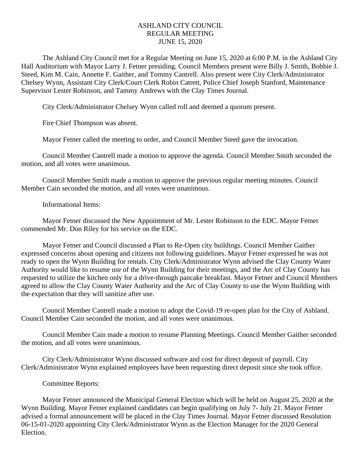## ASHLAND CITY COUNCIL REGULAR MEETING JUNE 15, 2020

The Ashland City Council met for a Regular Meeting on June 15, 2020 at 6:00 P.M. in the Ashland City Hall Auditorium with Mayor Larry J. Fetner presiding. Council Members present were Billy J. Smith, Bobbie J. Steed, Kim M. Cain, Annette F. Gaither, and Tommy Cantrell. Also present were City Clerk/Administrator Chelsey Wynn, Assistant City Clerk/Court Clerk Robin Catrett, Police Chief Joseph Stanford, Maintenance Supervisor Lester Robinson, and Tammy Andrews with the Clay Times Journal.

City Clerk/Administrator Chelsey Wynn called roll and deemed a quorum present.

Fire Chief Thompson was absent.

Mayor Fetner called the meeting to order, and Council Member Steed gave the invocation.

Council Member Cantrell made a motion to approve the agenda. Council Member Smith seconded the motion, and all votes were unanimous.

Council Member Smith made a motion to approve the previous regular meeting minutes. Council Member Cain seconded the motion, and all votes were unanimous.

Informational Items:

Mayor Fetner discussed the New Appointment of Mr. Lester Robinson to the EDC. Mayor Fetner commended Mr. Don Riley for his service on the EDC.

Mayor Fetner and Council discussed a Plan to Re-Open city buildings. Council Member Gaither expressed concerns about opening and citizens not following guidelines. Mayor Fetner expressed he was not ready to open the Wynn Building for rentals. City Clerk/Administrator Wynn advised the Clay County Water Authority would like to resume use of the Wynn Building for their meetings, and the Arc of Clay County has requested to utilize the kitchen only for a drive-through pancake breakfast. Mayor Fetner and Council Members agreed to allow the Clay County Water Authority and the Arc of Clay County to use the Wynn Building with the expectation that they will sanitize after use.

Council Member Cantrell made a motion to adopt the Covid-19 re-open plan for the City of Ashland. Council Member Cain seconded the motion, and all votes were unanimous.

Council Member Cain made a motion to resume Planning Meetings. Council Member Gaither seconded the motion, and all votes were unanimous.

City Clerk/Administrator Wynn discussed software and cost for direct deposit of payroll. City Clerk/Administrator Wynn explained employees have been requesting direct deposit since she took office.

## Committee Reports:

Mayor Fetner announced the Municipal General Election which will be held on August 25, 2020 at the Wynn Building. Mayor Fetner explained candidates can begin qualifying on July 7- July 21. Mayor Fetner advised a formal announcement will be placed in the Clay Times Journal. Mayor Fetner discussed Resolution 06-15-01-2020 appointing City Clerk/Administrator Wynn as the Election Manager for the 2020 General Election.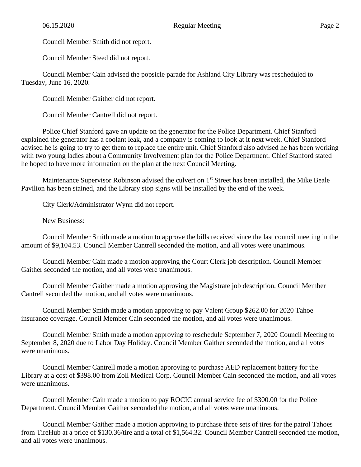Council Member Smith did not report.

Council Member Steed did not report.

Council Member Cain advised the popsicle parade for Ashland City Library was rescheduled to Tuesday, June 16, 2020.

Council Member Gaither did not report.

Council Member Cantrell did not report.

Police Chief Stanford gave an update on the generator for the Police Department. Chief Stanford explained the generator has a coolant leak, and a company is coming to look at it next week. Chief Stanford advised he is going to try to get them to replace the entire unit. Chief Stanford also advised he has been working with two young ladies about a Community Involvement plan for the Police Department. Chief Stanford stated he hoped to have more information on the plan at the next Council Meeting.

Maintenance Supervisor Robinson advised the culvert on 1<sup>st</sup> Street has been installed, the Mike Beale Pavilion has been stained, and the Library stop signs will be installed by the end of the week.

City Clerk/Administrator Wynn did not report.

New Business:

Council Member Smith made a motion to approve the bills received since the last council meeting in the amount of \$9,104.53. Council Member Cantrell seconded the motion, and all votes were unanimous.

Council Member Cain made a motion approving the Court Clerk job description. Council Member Gaither seconded the motion, and all votes were unanimous.

Council Member Gaither made a motion approving the Magistrate job description. Council Member Cantrell seconded the motion, and all votes were unanimous.

Council Member Smith made a motion approving to pay Valent Group \$262.00 for 2020 Tahoe insurance coverage. Council Member Cain seconded the motion, and all votes were unanimous.

Council Member Smith made a motion approving to reschedule September 7, 2020 Council Meeting to September 8, 2020 due to Labor Day Holiday. Council Member Gaither seconded the motion, and all votes were unanimous.

Council Member Cantrell made a motion approving to purchase AED replacement battery for the Library at a cost of \$398.00 from Zoll Medical Corp. Council Member Cain seconded the motion, and all votes were unanimous.

Council Member Cain made a motion to pay ROCIC annual service fee of \$300.00 for the Police Department. Council Member Gaither seconded the motion, and all votes were unanimous.

Council Member Gaither made a motion approving to purchase three sets of tires for the patrol Tahoes from TireHub at a price of \$130.36/tire and a total of \$1,564.32. Council Member Cantrell seconded the motion, and all votes were unanimous.